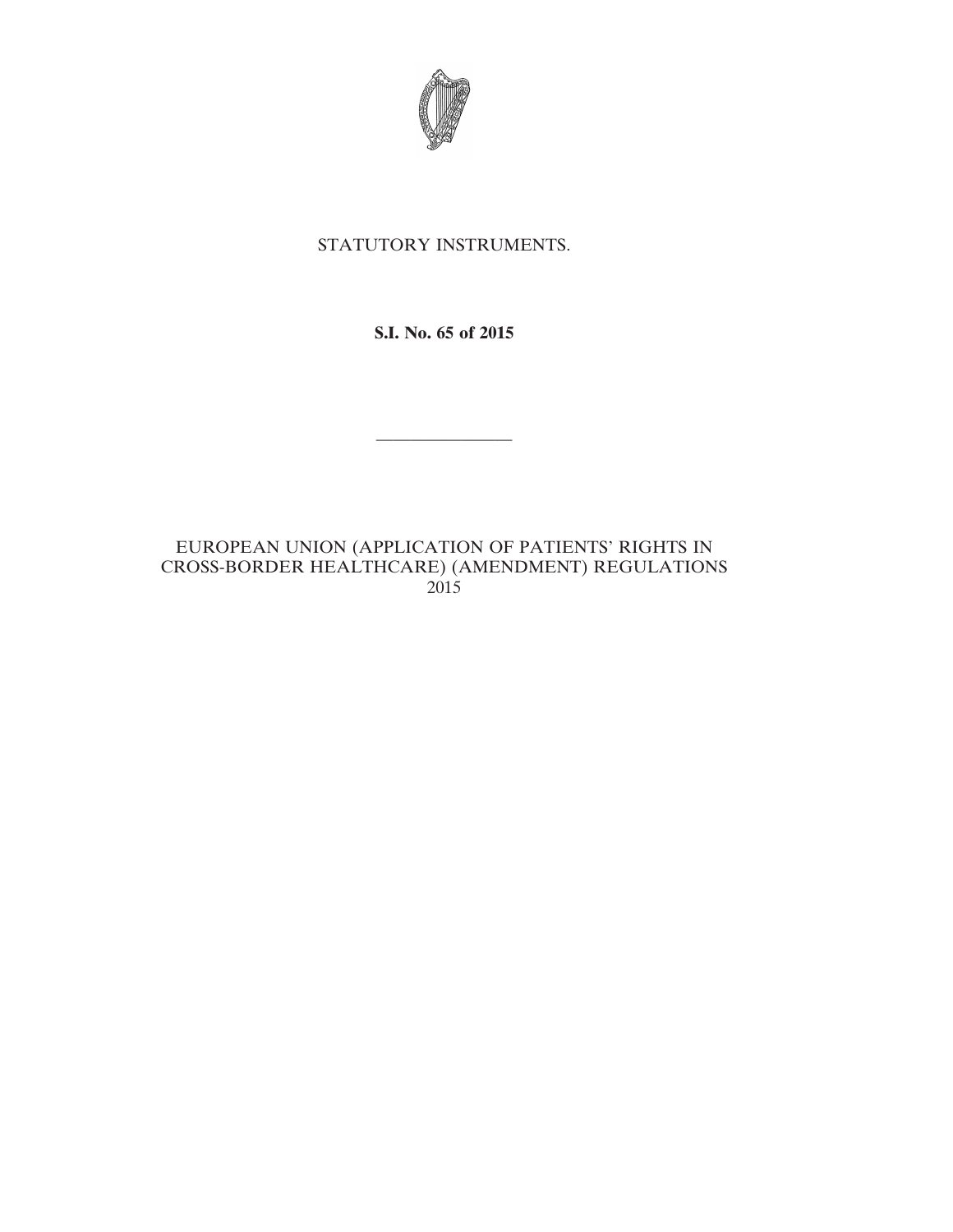

# STATUTORY INSTRUMENTS.

**S.I. No. 65 of 2015**

————————

# EUROPEAN UNION (APPLICATION OF PATIENTS' RIGHTS IN CROSS-BORDER HEALTHCARE) (AMENDMENT) REGULATIONS 2015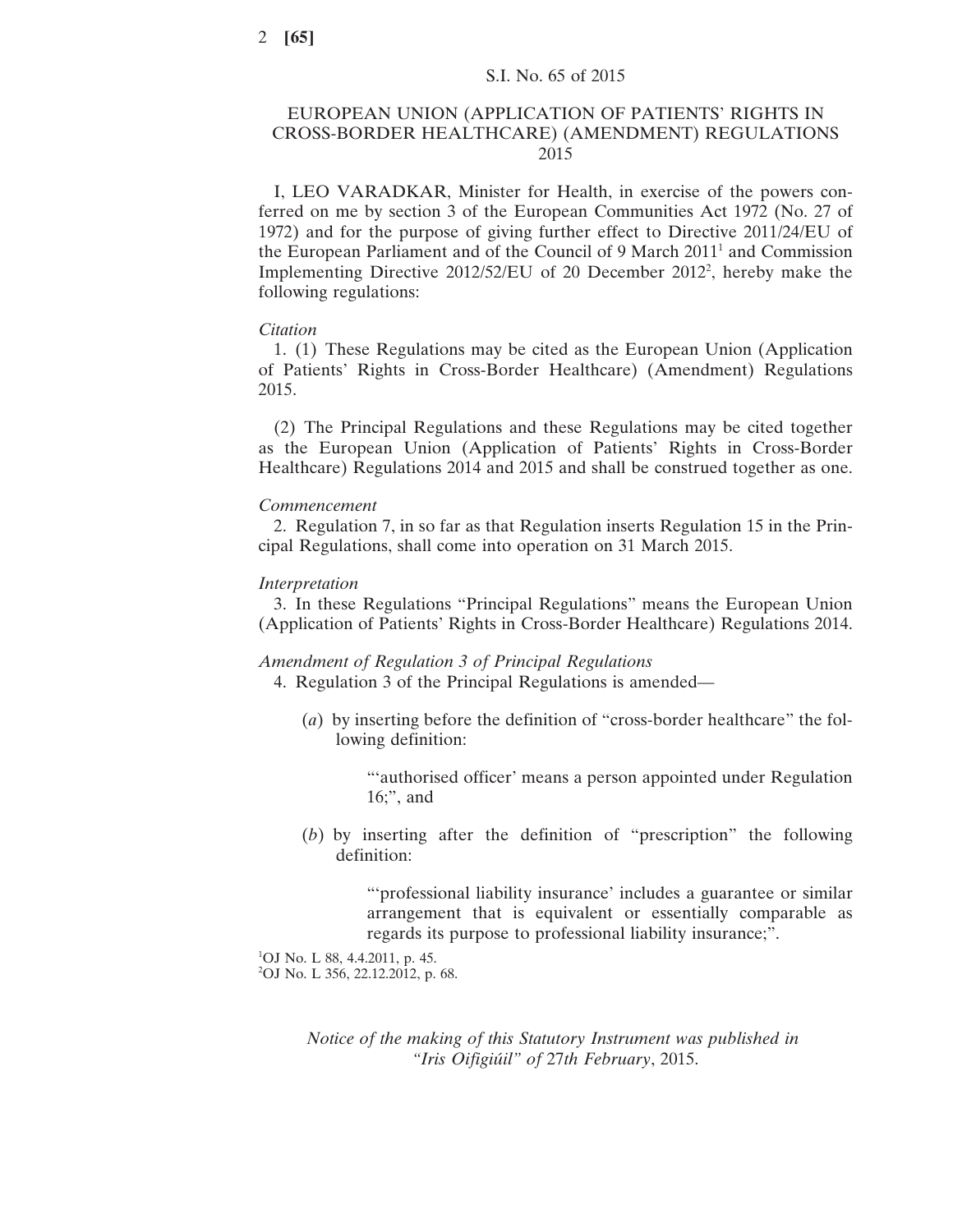# EUROPEAN UNION (APPLICATION OF PATIENTS' RIGHTS IN CROSS-BORDER HEALTHCARE) (AMENDMENT) REGULATIONS 2015

I, LEO VARADKAR, Minister for Health, in exercise of the powers conferred on me by section 3 of the European Communities Act 1972 (No. 27 of 1972) and for the purpose of giving further effect to Directive 2011/24/EU of the European Parliament and of the Council of 9 March 2011<sup>1</sup> and Commission Implementing Directive 2012/52/EU of 20 December 20122 , hereby make the following regulations:

#### *Citation*

1. (1) These Regulations may be cited as the European Union (Application of Patients' Rights in Cross-Border Healthcare) (Amendment) Regulations 2015.

(2) The Principal Regulations and these Regulations may be cited together as the European Union (Application of Patients' Rights in Cross-Border Healthcare) Regulations 2014 and 2015 and shall be construed together as one.

#### *Commencement*

2. Regulation 7, in so far as that Regulation inserts Regulation 15 in the Principal Regulations, shall come into operation on 31 March 2015.

#### *Interpretation*

3. In these Regulations "Principal Regulations" means the European Union (Application of Patients' Rights in Cross-Border Healthcare) Regulations 2014.

### *Amendment of Regulation 3 of Principal Regulations*

4. Regulation 3 of the Principal Regulations is amended—

(*a*) by inserting before the definition of "cross-border healthcare" the following definition:

> "'authorised officer' means a person appointed under Regulation 16;", and

(*b*) by inserting after the definition of "prescription" the following definition:

> "'professional liability insurance' includes a guarantee or similar arrangement that is equivalent or essentially comparable as regards its purpose to professional liability insurance;".

1 OJ No. L 88, 4.4.2011, p. 45. 2 OJ No. L 356, 22.12.2012, p. 68.

> *Notice of the making of this Statutory Instrument was published in "Iris Oifigiúil" of* 27*th February*, 2015.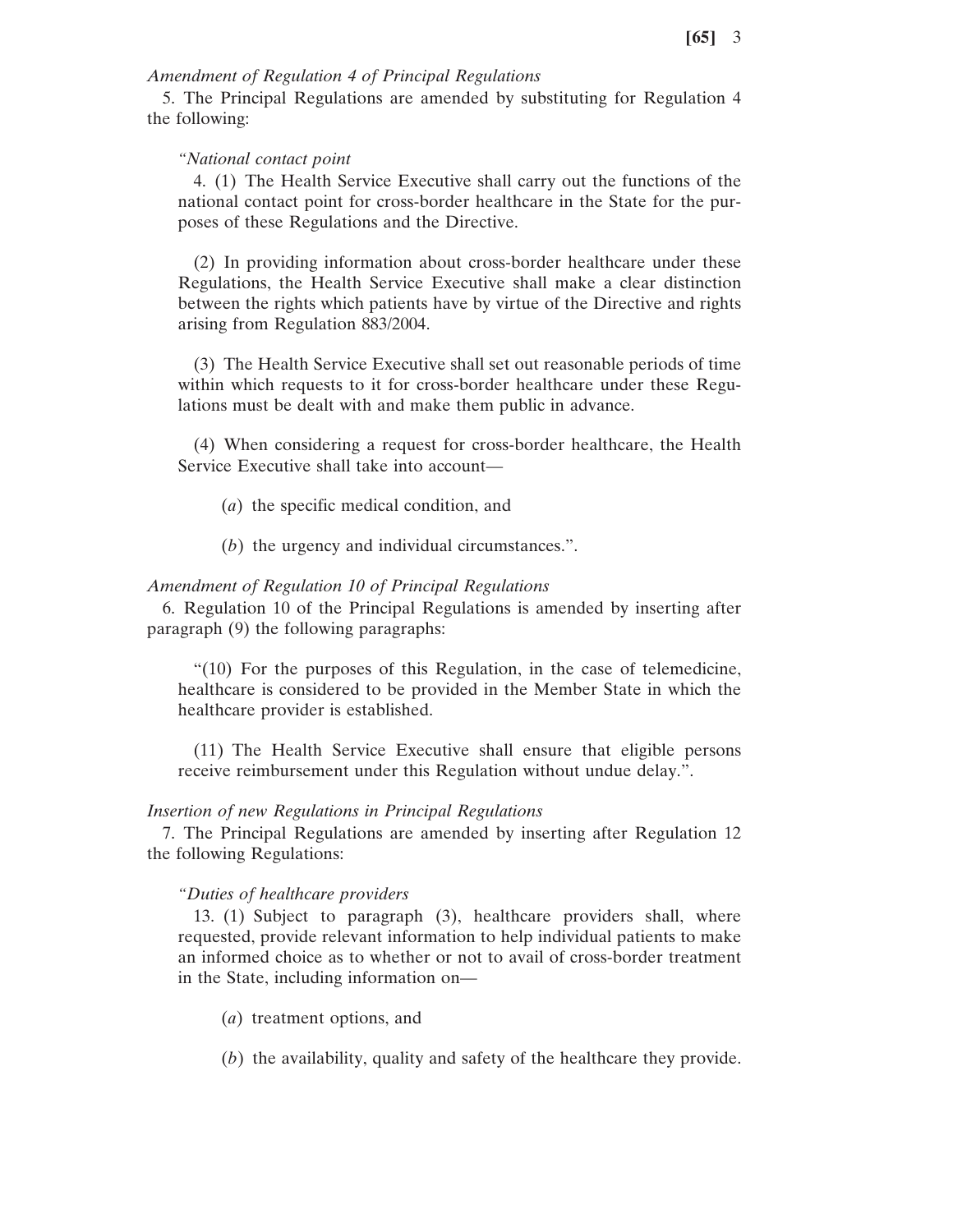## *Amendment of Regulation 4 of Principal Regulations*

5. The Principal Regulations are amended by substituting for Regulation 4 the following:

## *"National contact point*

4. (1) The Health Service Executive shall carry out the functions of the national contact point for cross-border healthcare in the State for the purposes of these Regulations and the Directive.

(2) In providing information about cross-border healthcare under these Regulations, the Health Service Executive shall make a clear distinction between the rights which patients have by virtue of the Directive and rights arising from Regulation 883/2004.

(3) The Health Service Executive shall set out reasonable periods of time within which requests to it for cross-border healthcare under these Regulations must be dealt with and make them public in advance.

(4) When considering a request for cross-border healthcare, the Health Service Executive shall take into account—

- (*a*) the specific medical condition, and
- (*b*) the urgency and individual circumstances.".

## *Amendment of Regulation 10 of Principal Regulations*

6. Regulation 10 of the Principal Regulations is amended by inserting after paragraph (9) the following paragraphs:

"(10) For the purposes of this Regulation, in the case of telemedicine, healthcare is considered to be provided in the Member State in which the healthcare provider is established.

(11) The Health Service Executive shall ensure that eligible persons receive reimbursement under this Regulation without undue delay.".

## *Insertion of new Regulations in Principal Regulations*

7. The Principal Regulations are amended by inserting after Regulation 12 the following Regulations:

## *"Duties of healthcare providers*

13. (1) Subject to paragraph (3), healthcare providers shall, where requested, provide relevant information to help individual patients to make an informed choice as to whether or not to avail of cross-border treatment in the State, including information on—

- (*a*) treatment options, and
- (*b*) the availability, quality and safety of the healthcare they provide.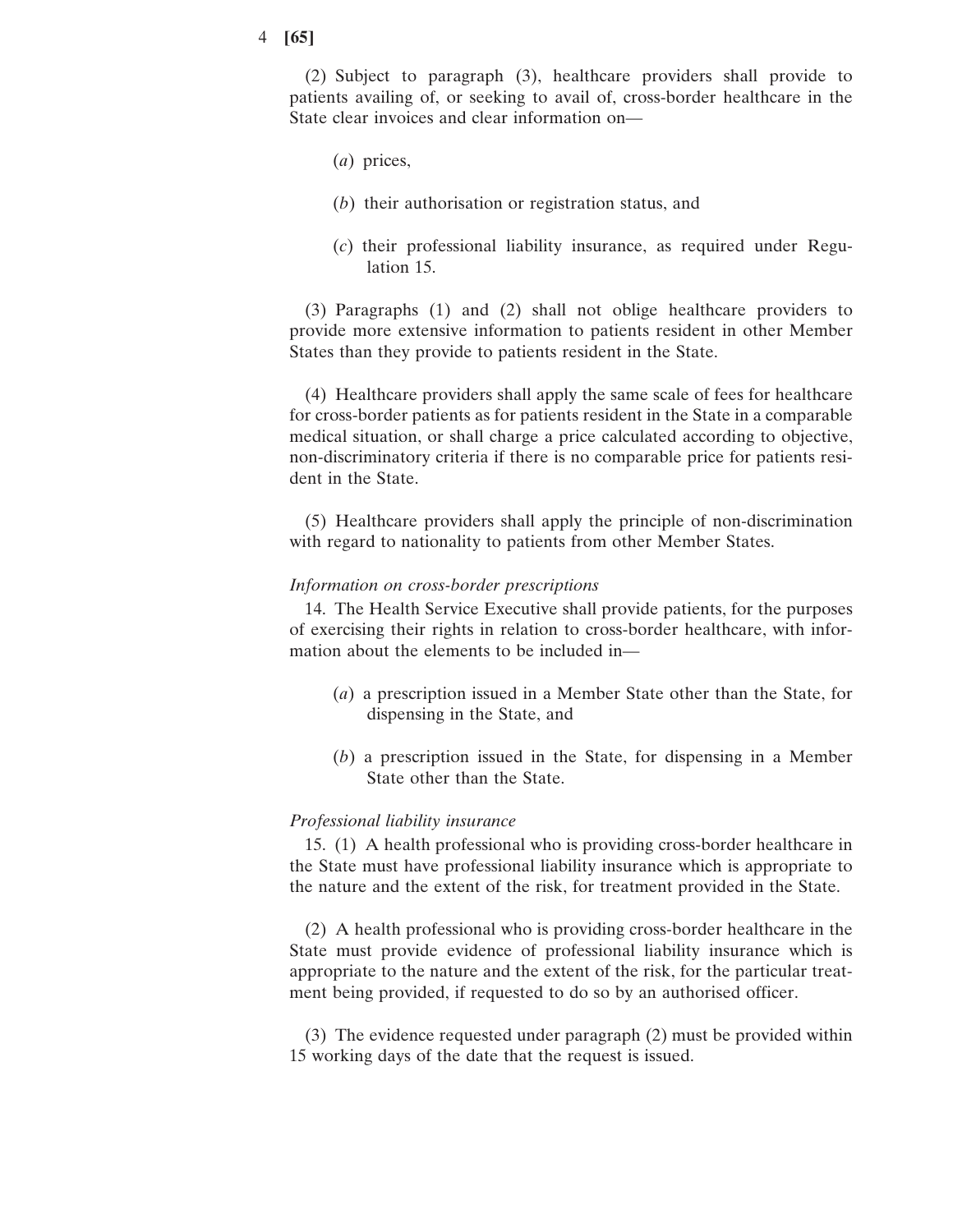#### 4 **[65]**

(2) Subject to paragraph (3), healthcare providers shall provide to patients availing of, or seeking to avail of, cross-border healthcare in the State clear invoices and clear information on—

- (*a*) prices,
- (*b*) their authorisation or registration status, and
- (*c*) their professional liability insurance, as required under Regulation 15.

(3) Paragraphs (1) and (2) shall not oblige healthcare providers to provide more extensive information to patients resident in other Member States than they provide to patients resident in the State.

(4) Healthcare providers shall apply the same scale of fees for healthcare for cross-border patients as for patients resident in the State in a comparable medical situation, or shall charge a price calculated according to objective, non-discriminatory criteria if there is no comparable price for patients resident in the State.

(5) Healthcare providers shall apply the principle of non-discrimination with regard to nationality to patients from other Member States.

### *Information on cross-border prescriptions*

14. The Health Service Executive shall provide patients, for the purposes of exercising their rights in relation to cross-border healthcare, with information about the elements to be included in—

- (*a*) a prescription issued in a Member State other than the State, for dispensing in the State, and
- (*b*) a prescription issued in the State, for dispensing in a Member State other than the State.

## *Professional liability insurance*

15. (1) A health professional who is providing cross-border healthcare in the State must have professional liability insurance which is appropriate to the nature and the extent of the risk, for treatment provided in the State.

(2) A health professional who is providing cross-border healthcare in the State must provide evidence of professional liability insurance which is appropriate to the nature and the extent of the risk, for the particular treatment being provided, if requested to do so by an authorised officer.

(3) The evidence requested under paragraph (2) must be provided within 15 working days of the date that the request is issued.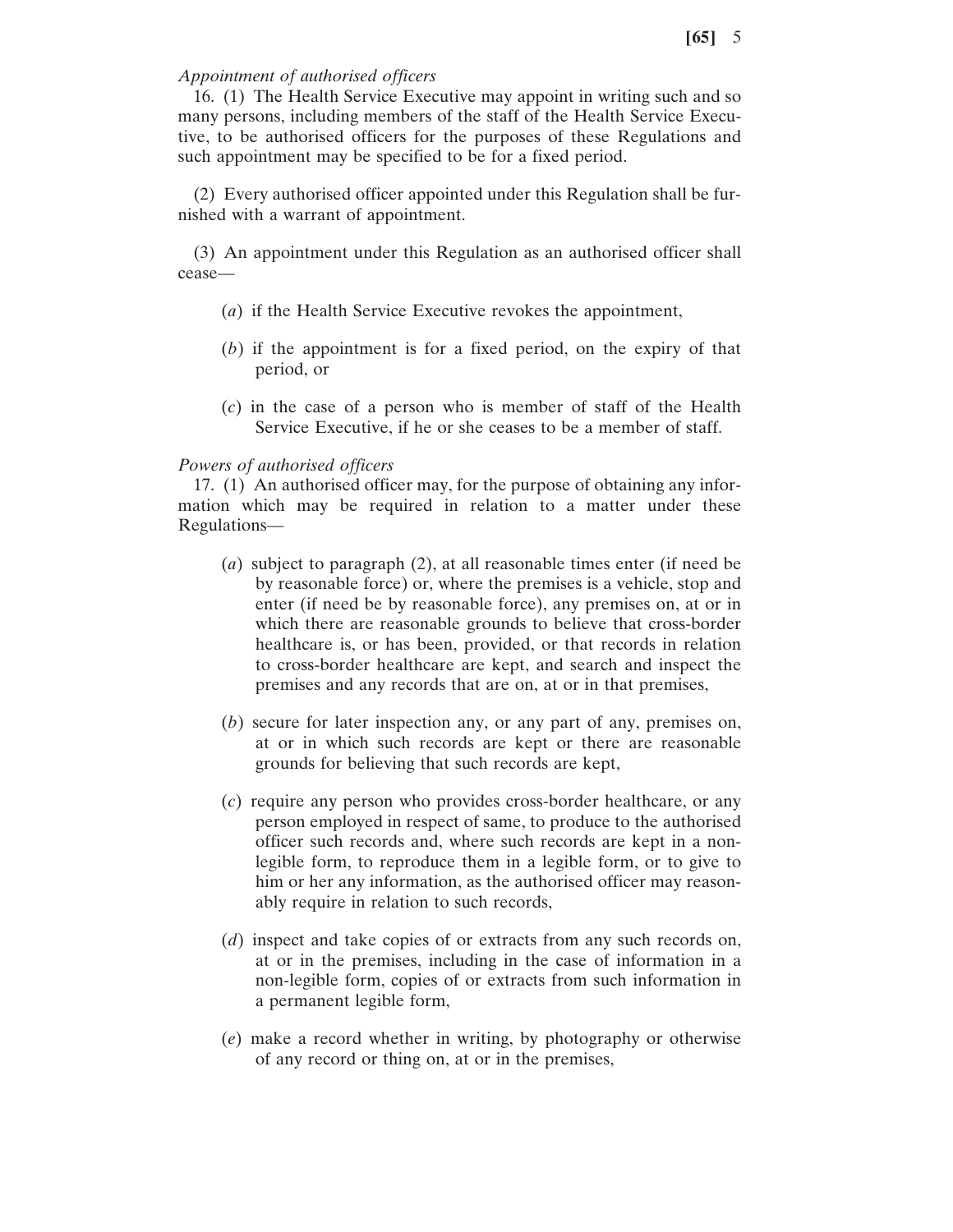## *Appointment of authorised officers*

16. (1) The Health Service Executive may appoint in writing such and so many persons, including members of the staff of the Health Service Executive, to be authorised officers for the purposes of these Regulations and such appointment may be specified to be for a fixed period.

(2) Every authorised officer appointed under this Regulation shall be furnished with a warrant of appointment.

(3) An appointment under this Regulation as an authorised officer shall cease—

- (*a*) if the Health Service Executive revokes the appointment,
- (*b*) if the appointment is for a fixed period, on the expiry of that period, or
- (*c*) in the case of a person who is member of staff of the Health Service Executive, if he or she ceases to be a member of staff.

#### *Powers of authorised officers*

17. (1) An authorised officer may, for the purpose of obtaining any information which may be required in relation to a matter under these Regulations—

- (*a*) subject to paragraph (2), at all reasonable times enter (if need be by reasonable force) or, where the premises is a vehicle, stop and enter (if need be by reasonable force), any premises on, at or in which there are reasonable grounds to believe that cross-border healthcare is, or has been, provided, or that records in relation to cross-border healthcare are kept, and search and inspect the premises and any records that are on, at or in that premises,
- (*b*) secure for later inspection any, or any part of any, premises on, at or in which such records are kept or there are reasonable grounds for believing that such records are kept,
- (*c*) require any person who provides cross-border healthcare, or any person employed in respect of same, to produce to the authorised officer such records and, where such records are kept in a nonlegible form, to reproduce them in a legible form, or to give to him or her any information, as the authorised officer may reasonably require in relation to such records,
- (*d*) inspect and take copies of or extracts from any such records on, at or in the premises, including in the case of information in a non-legible form, copies of or extracts from such information in a permanent legible form,
- (*e*) make a record whether in writing, by photography or otherwise of any record or thing on, at or in the premises,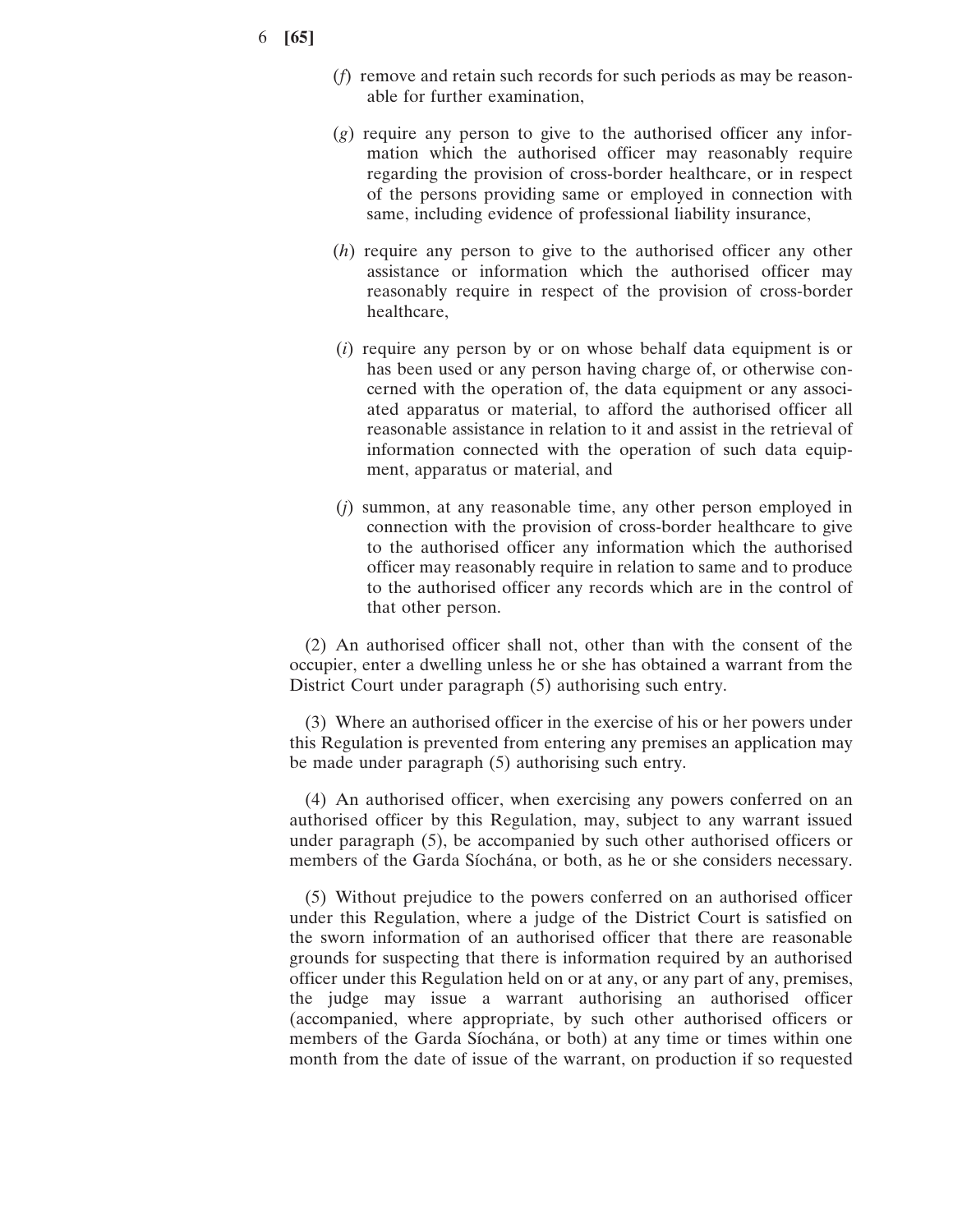- 6 **[65]**
- (*f*) remove and retain such records for such periods as may be reasonable for further examination,
- (*g*) require any person to give to the authorised officer any information which the authorised officer may reasonably require regarding the provision of cross-border healthcare, or in respect of the persons providing same or employed in connection with same, including evidence of professional liability insurance,
- (*h*) require any person to give to the authorised officer any other assistance or information which the authorised officer may reasonably require in respect of the provision of cross-border healthcare,
- (*i*) require any person by or on whose behalf data equipment is or has been used or any person having charge of, or otherwise concerned with the operation of, the data equipment or any associated apparatus or material, to afford the authorised officer all reasonable assistance in relation to it and assist in the retrieval of information connected with the operation of such data equipment, apparatus or material, and
- (*j*) summon, at any reasonable time, any other person employed in connection with the provision of cross-border healthcare to give to the authorised officer any information which the authorised officer may reasonably require in relation to same and to produce to the authorised officer any records which are in the control of that other person.

(2) An authorised officer shall not, other than with the consent of the occupier, enter a dwelling unless he or she has obtained a warrant from the District Court under paragraph (5) authorising such entry.

(3) Where an authorised officer in the exercise of his or her powers under this Regulation is prevented from entering any premises an application may be made under paragraph (5) authorising such entry.

(4) An authorised officer, when exercising any powers conferred on an authorised officer by this Regulation, may, subject to any warrant issued under paragraph (5), be accompanied by such other authorised officers or members of the Garda Síochána, or both, as he or she considers necessary.

(5) Without prejudice to the powers conferred on an authorised officer under this Regulation, where a judge of the District Court is satisfied on the sworn information of an authorised officer that there are reasonable grounds for suspecting that there is information required by an authorised officer under this Regulation held on or at any, or any part of any, premises, the judge may issue a warrant authorising an authorised officer (accompanied, where appropriate, by such other authorised officers or members of the Garda Síochána, or both) at any time or times within one month from the date of issue of the warrant, on production if so requested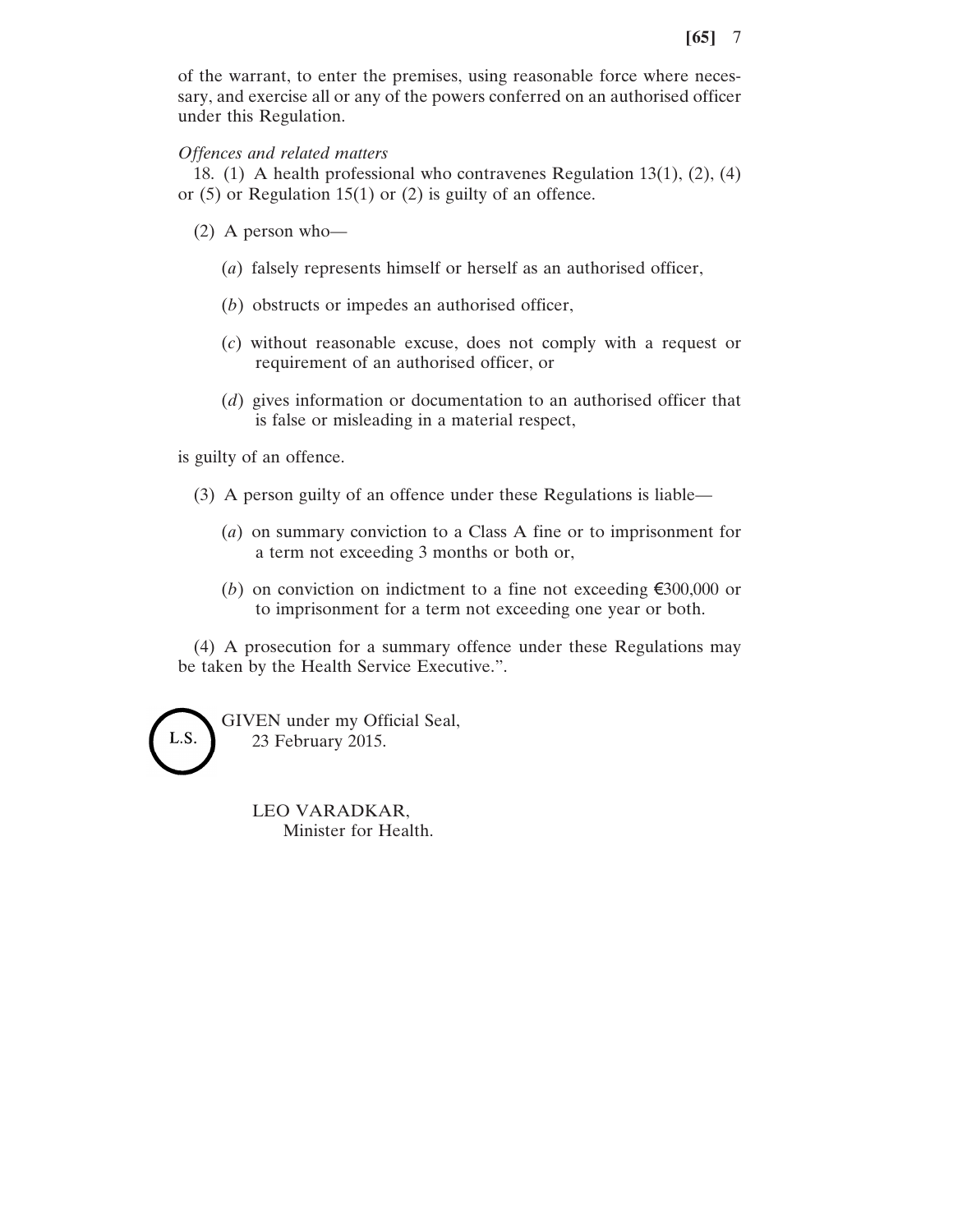of the warrant, to enter the premises, using reasonable force where necessary, and exercise all or any of the powers conferred on an authorised officer under this Regulation.

# *Offences and related matters*

18. (1) A health professional who contravenes Regulation 13(1), (2), (4) or (5) or Regulation 15(1) or (2) is guilty of an offence.

- (2) A person who—
	- (*a*) falsely represents himself or herself as an authorised officer,
	- (*b*) obstructs or impedes an authorised officer,
	- (*c*) without reasonable excuse, does not comply with a request or requirement of an authorised officer, or
	- (*d*) gives information or documentation to an authorised officer that is false or misleading in a material respect,

is guilty of an offence.

- (3) A person guilty of an offence under these Regulations is liable—
	- (*a*) on summary conviction to a Class A fine or to imprisonment for a term not exceeding 3 months or both or,
	- (*b*) on conviction on indictment to a fine not exceeding €300,000 or to imprisonment for a term not exceeding one year or both.

(4) A prosecution for a summary offence under these Regulations may be taken by the Health Service Executive.".

L.S.

GIVEN under my Official Seal, 23 February 2015.

> LEO VARADKAR, Minister for Health.